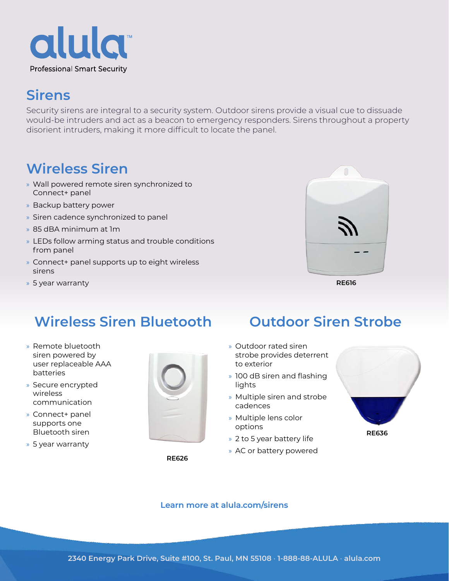

## **Sirens**

Security sirens are integral to a security system. Outdoor sirens provide a visual cue to dissuade would-be intruders and act as a beacon to emergency responders. Sirens throughout a property disorient intruders, making it more difficult to locate the panel.

# **Wireless Siren**

- » Wall powered remote siren synchronized to Connect+ panel
- » Backup battery power
- » Siren cadence synchronized to panel
- » 85 dBA minimum at 1m
- » LEDs follow arming status and trouble conditions from panel
- » Connect+ panel supports up to eight wireless sirens
- » 5 year warranty



**RE616**

### **Wireless Siren Bluetooth Outdoor Siren Strobe**

- » Remote bluetooth siren powered by user replaceable AAA batteries
- » Secure encrypted wireless communication
- » Connect+ panel supports one Bluetooth siren
- » 5 year warranty



**RE626**

- » Outdoor rated siren strobe provides deterrent to exterior
- » 100 dB siren and flashing lights
- » Multiple siren and strobe cadences
- » Multiple lens color options
- » 2 to 5 year battery life
- » AC or battery powered



### **[Learn more at alula.com/s](https://alula.com/sirens/)irens**